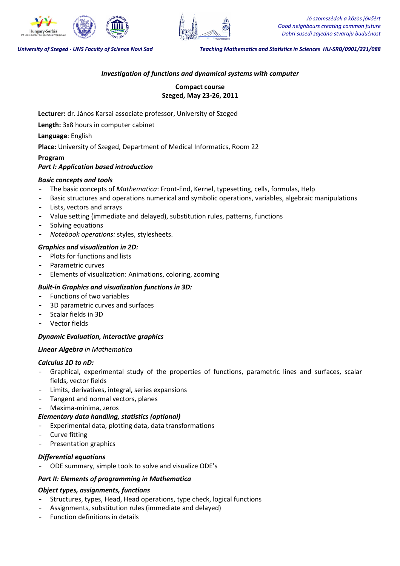

*Jó szomszédok a közös jövőért Good neighbours creating common future Dobri susedi zajedno stvaraju budućnost*

*University of Szeged - UNS Faculty of Science Novi Sad Teaching Mathematics and Statistics in Sciences HU-SRB/0901/221/088*

# *Investigation of functions and dynamical systems with computer*

**Compact course Szeged, May 23-26, 2011** 

**Lecturer:** dr. János Karsai associate professor, University of Szeged

**Length:** 3x8 hours in computer cabinet

**Language**: English

**Place:** University of Szeged, Department of Medical Informatics, Room 22

### **Program**  *Part I: Application based introduction*

## *Basic concepts and tools*

- The basic concepts of *Mathematica*: Front-End, Kernel, typesetting, cells, formulas, Help
- Basic structures and operations numerical and symbolic operations, variables, algebraic manipulations
- Lists, vectors and arrays
- Value setting (immediate and delayed), substitution rules, patterns, functions
- Solving equations
- *Notebook operations:* styles, stylesheets.

# *Graphics and visualization in 2D:*

- Plots for functions and lists
- Parametric curves
- Elements of visualization: Animations, coloring, zooming

# *Built-in Graphics and visualization functions in 3D:*

- Functions of two variables
- 3D parametric curves and surfaces
- Scalar fields in 3D
- Vector fields

# *Dynamic Evaluation, interactive graphics*

## *Linear Algebra in Mathematica*

## *Calculus 1D to nD:*

- Graphical, experimental study of the properties of functions, parametric lines and surfaces, scalar fields, vector fields
- Limits, derivatives, integral, series expansions
- Tangent and normal vectors, planes
- Maxima-minima, zeros

# *Elementary data handling, statistics (optional)*

- Experimental data, plotting data, data transformations
- Curve fitting
- Presentation graphics

## *Differential equations*

- ODE summary, simple tools to solve and visualize ODE's

# *Part II: Elements of programming in Mathematica*

# *Object types, assignments, functions*

- Structures, types, Head, Head operations, type check, logical functions
- Assignments, substitution rules (immediate and delayed)
- Function definitions in details